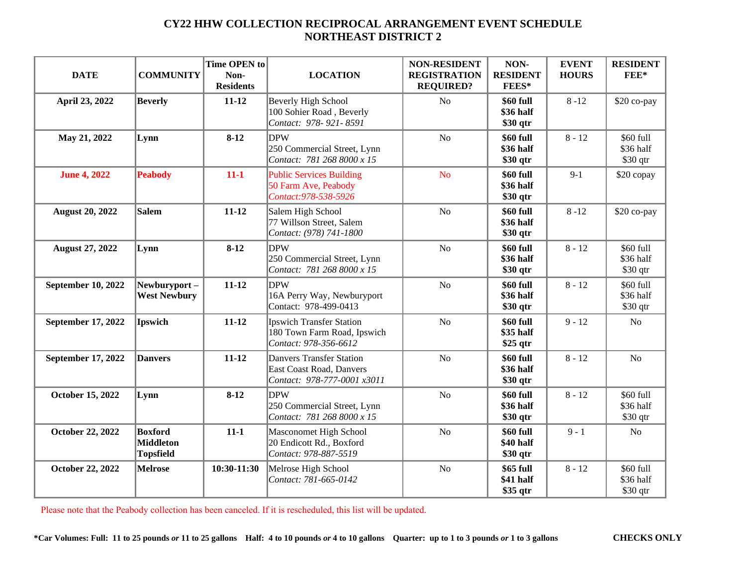| <b>DATE</b>             | <b>COMMUNITY</b>                                       | Time OPEN to<br>Non-<br><b>Residents</b> | <b>LOCATION</b>                                                                            | <b>NON-RESIDENT</b><br><b>REGISTRATION</b><br><b>REQUIRED?</b> | NON-<br><b>RESIDENT</b><br>FEES*    | <b>EVENT</b><br><b>HOURS</b> | <b>RESIDENT</b><br>$FEE*$           |
|-------------------------|--------------------------------------------------------|------------------------------------------|--------------------------------------------------------------------------------------------|----------------------------------------------------------------|-------------------------------------|------------------------------|-------------------------------------|
| April 23, 2022          | <b>Beverly</b>                                         | $11 - 12$                                | Beverly High School<br>100 Sohier Road, Beverly<br>Contact: 978-921-8591                   | N <sub>o</sub>                                                 | \$60 full<br>\$36 half<br>\$30 qtr  | $8 - 12$                     | \$20 co-pay                         |
| May 21, 2022            | Lynn                                                   | $8 - 12$                                 | <b>DPW</b><br>250 Commercial Street, Lynn<br>Contact: 781 268 8000 x 15                    | N <sub>o</sub>                                                 | \$60 full<br>\$36 half<br>\$30 qtr  | $8 - 12$                     | \$60 full<br>\$36 half<br>\$30 qtr  |
| <b>June 4, 2022</b>     | <b>Peabody</b>                                         | $11-1$                                   | <b>Public Services Building</b><br>50 Farm Ave, Peabody<br>Contact: 978-538-5926           | <b>No</b>                                                      | \$60 full<br>\$36 half<br>\$30 qtr  | $9 - 1$                      | \$20 copay                          |
| <b>August 20, 2022</b>  | Salem                                                  | $11 - 12$                                | Salem High School<br>77 Willson Street, Salem<br>Contact: (978) 741-1800                   | N <sub>o</sub>                                                 | \$60 full<br>\$36 half<br>\$30 qtr  | $8 - 12$                     | \$20 co-pay                         |
| <b>August 27, 2022</b>  | Lynn                                                   | $8-12$                                   | <b>DPW</b><br>250 Commercial Street, Lynn<br>Contact: 781 268 8000 x 15                    | N <sub>o</sub>                                                 | \$60 full<br>\$36 half<br>\$30 qtr  | $8 - 12$                     | \$60 full<br>\$36 half<br>$$30$ qtr |
| September 10, 2022      | Newburyport-<br><b>West Newbury</b>                    | $11 - 12$                                | <b>DPW</b><br>16A Perry Way, Newburyport<br>Contact: 978-499-0413                          | N <sub>o</sub>                                                 | \$60 full<br>\$36 half<br>\$30 qtr  | $8 - 12$                     | \$60 full<br>\$36 half<br>$$30$ qtr |
| September 17, 2022      | <b>Ipswich</b>                                         | $11 - 12$                                | <b>Ipswich Transfer Station</b><br>180 Town Farm Road, Ipswich<br>Contact: 978-356-6612    | N <sub>o</sub>                                                 | \$60 full<br>\$35 half<br>$$25$ qtr | $9 - 12$                     | No                                  |
| September 17, 2022      | <b>Danvers</b>                                         | $11 - 12$                                | <b>Danvers Transfer Station</b><br>East Coast Road, Danvers<br>Contact: 978-777-0001 x3011 | N <sub>o</sub>                                                 | \$60 full<br>\$36 half<br>\$30 qtr  | $8 - 12$                     | $\rm No$                            |
| <b>October 15, 2022</b> | Lynn                                                   | $8-12$                                   | <b>DPW</b><br>250 Commercial Street, Lynn<br>Contact: 781 268 8000 x 15                    | N <sub>o</sub>                                                 | \$60 full<br>\$36 half<br>\$30 qtr  | $8 - 12$                     | \$60 full<br>\$36 half<br>$$30$ qtr |
| October 22, 2022        | <b>Boxford</b><br><b>Middleton</b><br><b>Topsfield</b> | $11 - 1$                                 | Masconomet High School<br>20 Endicott Rd., Boxford<br>Contact: 978-887-5519                | N <sub>o</sub>                                                 | \$60 full<br>\$40 half<br>\$30 qtr  | $9 - 1$                      | N <sub>o</sub>                      |
| October 22, 2022        | <b>Melrose</b>                                         | 10:30-11:30                              | Melrose High School<br>Contact: 781-665-0142                                               | N <sub>o</sub>                                                 | \$65 full<br>\$41 half<br>\$35 qtr  | $8 - 12$                     | \$60 full<br>\$36 half<br>\$30 qtr  |

Please note that the Peabody collection has been canceled. If it is rescheduled, this list will be updated.

\*Car Volumes: Full: 11 to 25 pounds or 11 to 25 gallons Half: 4 to 10 pounds or 4 to 10 gallons Quarter: up to 1 to 3 pounds or 1 to 3 gallons CHECKS ONLY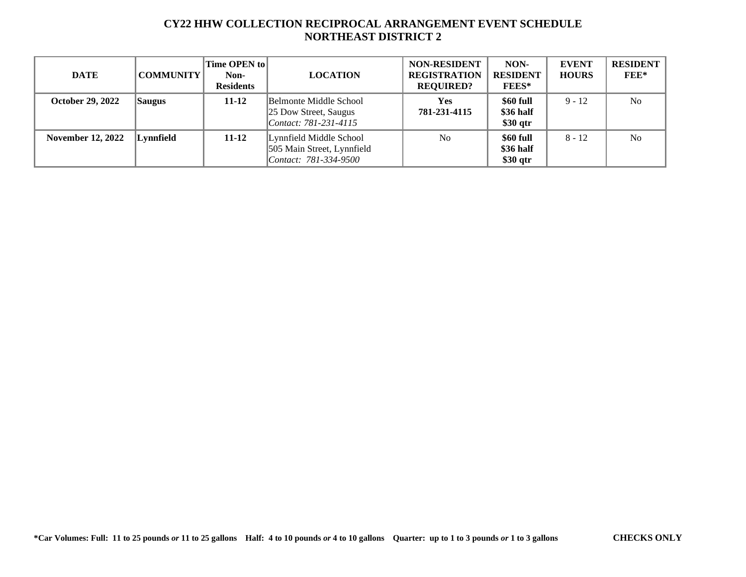| DATE                     | <b>COMMUNITY</b> | <b>Time OPEN to   </b><br>Non-<br><b>Residents</b> | <b>LOCATION</b>                                                                | <b>NON-RESIDENT</b><br><b>REGISTRATION</b><br><b>REQUIRED?</b> | NON-<br><b>RESIDENT</b><br><b>FEES*</b> | <b>EVENT</b><br><b>HOURS</b> | <b>RESIDENT</b><br>$FEE*$ |
|--------------------------|------------------|----------------------------------------------------|--------------------------------------------------------------------------------|----------------------------------------------------------------|-----------------------------------------|------------------------------|---------------------------|
| <b>October 29, 2022</b>  | <b>Saugus</b>    | $11 - 12$                                          | Belmonte Middle School<br>25 Dow Street, Saugus<br>Contact: 781-231-4115       | <b>Yes</b><br>781-231-4115                                     | \$60 full<br>\$36 half<br>$$30$ qtr     | $9 - 12$                     | N <sub>0</sub>            |
| <b>November 12, 2022</b> | Lynnfield        | $11 - 12$                                          | Lynnfield Middle School<br>505 Main Street, Lynnfield<br>Contact: 781-334-9500 | N <sub>o</sub>                                                 | \$60 full<br>\$36 half<br>\$30 qtr      | $8 - 12$                     | N <sub>o</sub>            |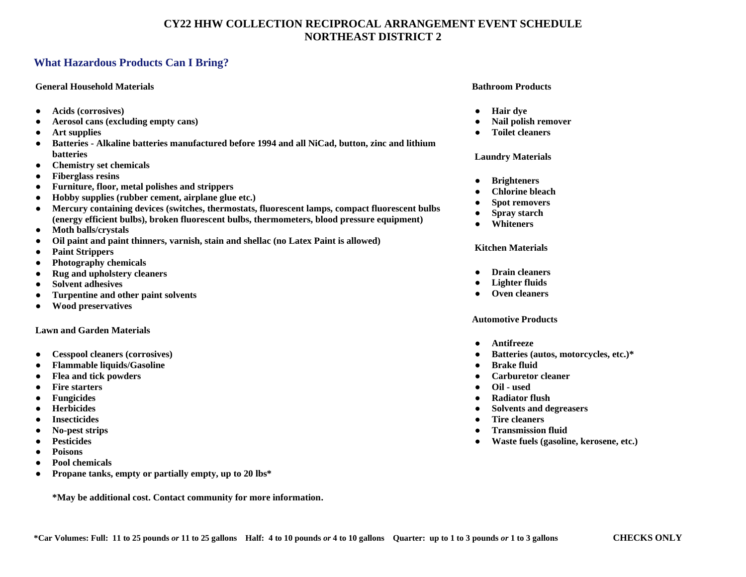## **What Hazardous Products Can I Bring?**

#### **General Household Materials**

- **Acids (corrosives)**
- **Aerosol cans (excluding empty cans)**
- **Art supplies**
- **Batteries - Alkaline batteries manufactured before 1994 and all NiCad, button, zinc and lithium batteries**
- **Chemistry set chemicals**
- **Fiberglass resins**
- **Furniture, floor, metal polishes and strippers**
- **Hobby supplies (rubber cement, airplane glue etc.)**
- **Mercury containing devices (switches, thermostats, fluorescent lamps, compact fluorescent bulbs (energy efficient bulbs), broken fluorescent bulbs, thermometers, blood pressure equipment)**
- **Moth balls/crystals**
- **Oil paint and paint thinners, varnish, stain and shellac (no Latex Paint is allowed)**
- **Paint Strippers**
- **Photography chemicals**
- **Rug and upholstery cleaners**
- **Solvent adhesives**
- **Turpentine and other paint solvents**
- **Wood preservatives**

#### **Lawn and Garden Materials**

- **Cesspool cleaners (corrosives)**
- **Flammable liquids/Gasoline**
- **Flea and tick powders**
- **Fire starters**
- **Fungicides**
- **Herbicides**
- **Insecticides**
- **No-pest strips**
- **Pesticides**
- **Poisons**
- **Pool chemicals**
- **Propane tanks, empty or partially empty, up to 20 lbs\***

**\*May be additional cost. Contact community for more information.**

#### **Bathroom Products**

- **Hair dye**
- **Nail polish remover**
- **Toilet cleaners**

#### **Laundry Materials**

- **Brighteners**
- **Chlorine bleach**
- **Spot removers**
- **Spray starch**
- **Whiteners**

#### **Kitchen Materials**

- **Drain cleaners**
- **Lighter fluids**
- **Oven cleaners**

#### **Automotive Products**

- **Antifreeze**
- **Batteries (autos, motorcycles, etc.)\***
- **Brake fluid**
- **Carburetor cleaner**
- **Oil - used**
- **Radiator flush**
- **Solvents and degreasers**
- **Tire cleaners**
- **Transmission fluid**
- **Waste fuels (gasoline, kerosene, etc.)**